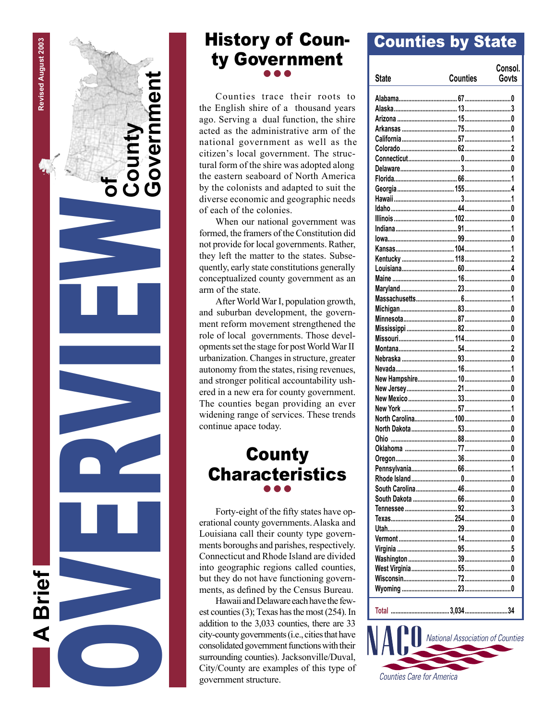

# History of County Government  $\bullet\bullet\bullet$

Counties trace their roots to the English shire of a thousand years ago. Serving a dual function, the shire acted as the administrative arm of the national government as well as the citizen's local government. The structural form of the shire was adopted along the eastern seaboard of North America by the colonists and adapted to suit the diverse economic and geographic needs of each of the colonies.

When our national government was formed, the framers of the Constitution did not provide for local governments. Rather, they left the matter to the states. Subsequently, early state constitutions generally conceptualized county government as an arm of the state.

After World War I, population growth, and suburban development, the government reform movement strengthened the role of local governments. Those developments set the stage for post World War II urbanization. Changes in structure, greater autonomy from the states, rising revenues, and stronger political accountability ushered in a new era for county government. The counties began providing an ever widening range of services. These trends continue apace today.

# **County** Characteristics  $\bullet\bullet\bullet$

Forty-eight of the fifty states have operational county governments.Alaska and Louisiana call their county type governments boroughs and parishes, respectively. Connecticut and Rhode Island are divided into geographic regions called counties, but they do not have functioning governments, as defined by the Census Bureau.

Hawaii and Delaware each have the fewest counties (3); Texas has the most (254). In addition to the 3,033 counties, there are 33 city-county governments (i.e., cities that have consolidated government functions with their surrounding counties). Jacksonville/Duval, City/County are examples of this type of government structure.

# Counties by State

| <b>State</b>                          | <b>Counties</b> | Consol.<br>Govts |
|---------------------------------------|-----------------|------------------|
|                                       |                 |                  |
|                                       |                 |                  |
|                                       |                 |                  |
|                                       |                 |                  |
|                                       |                 |                  |
|                                       |                 |                  |
|                                       |                 |                  |
|                                       |                 |                  |
|                                       |                 |                  |
|                                       |                 |                  |
|                                       |                 |                  |
|                                       |                 |                  |
|                                       |                 |                  |
|                                       |                 |                  |
|                                       |                 |                  |
|                                       |                 |                  |
|                                       |                 |                  |
|                                       |                 |                  |
|                                       |                 |                  |
|                                       |                 |                  |
|                                       |                 |                  |
|                                       |                 |                  |
|                                       |                 |                  |
|                                       |                 |                  |
|                                       |                 |                  |
|                                       |                 |                  |
|                                       |                 |                  |
|                                       |                 |                  |
|                                       |                 |                  |
|                                       |                 |                  |
|                                       |                 |                  |
|                                       |                 |                  |
|                                       |                 |                  |
|                                       |                 |                  |
|                                       |                 |                  |
|                                       |                 |                  |
|                                       |                 |                  |
|                                       |                 |                  |
|                                       |                 |                  |
|                                       |                 |                  |
|                                       |                 |                  |
|                                       |                 |                  |
|                                       |                 |                  |
|                                       |                 |                  |
|                                       |                 |                  |
|                                       |                 |                  |
|                                       |                 |                  |
|                                       |                 |                  |
|                                       |                 |                  |
|                                       |                 |                  |
|                                       |                 |                  |
|                                       |                 |                  |
|                                       |                 |                  |
| VА<br>National Association of Countie |                 |                  |

**Counties Care for America**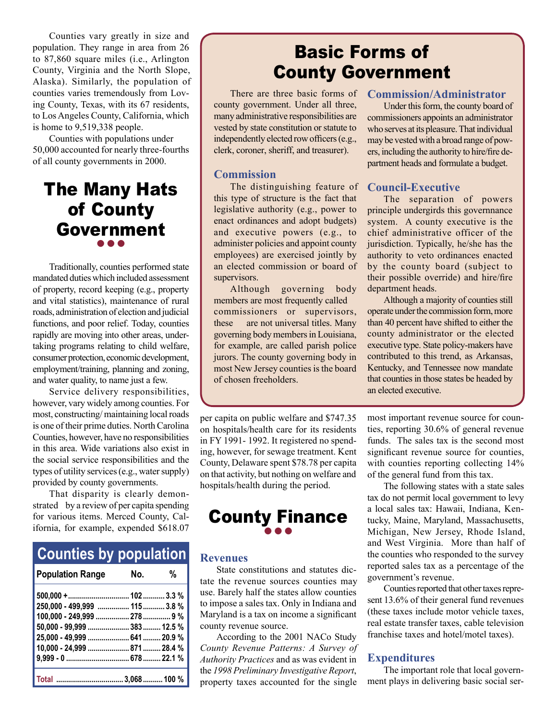Counties vary greatly in size and population. They range in area from 26 to 87,860 square miles (i.e., Arlington County, Virginia and the North Slope, Alaska). Similarly, the population of counties varies tremendously from Loving County, Texas, with its 67 residents, to Los Angeles County, California, which is home to 9,519,338 people.

Counties with populations under 50,000 accounted for nearly three-fourths of all county governments in 2000.

# The Many Hats of County Government  $\bullet\bullet\bullet$

Traditionally, counties performed state mandated duties which included assessment of property, record keeping (e.g., property and vital statistics), maintenance of rural roads, administration of election and judicial functions, and poor relief. Today, counties rapidly are moving into other areas, undertaking programs relating to child welfare, consumer protection, economic development, employment/training, planning and zoning, and water quality, to name just a few.

Service delivery responsibilities, however, vary widely among counties. For most, constructing/ maintaining local roads is one of their prime duties. North Carolina Counties, however, have no responsibilities in this area. Wide variations also exist in the social service responsibilities and the types of utility services (e.g., water supply) provided by county governments.

That disparity is clearly demonstrated by a review of per capita spending for various items. Merced County, California, for example, expended \$618.07

| <b>Counties by population</b> |     |   |
|-------------------------------|-----|---|
| <b>Population Range</b>       | No. | % |
|                               |     |   |
| 250,000 - 499,999  115  3.8 % |     |   |
| 100,000 - 249,999  278  9 %   |     |   |
| 50,000 - 99,999  383  12.5 %  |     |   |
| 25,000 - 49,999  641  20.9 %  |     |   |
| 10,000 - 24,999  871  28.4 %  |     |   |
|                               |     |   |
|                               |     |   |

# Basic Forms of County Government

county government. Under all three, many administrative responsibilities are vested by state constitution or statute to independently elected row officers (e.g., clerk, coroner, sheriff, and treasurer).

#### **Commission**

The distinguishing feature of this type of structure is the fact that legislative authority (e.g., power to enact ordinances and adopt budgets) and executive powers (e.g., to administer policies and appoint county employees) are exercised jointly by an elected commission or board of supervisors.

Although governing body members are most frequently called commissioners or supervisors, these are not universal titles. Many governing body members in Louisiana, for example, are called parish police jurors. The county governing body in most New Jersey counties is the board of chosen freeholders.

per capita on public welfare and \$747.35 on hospitals/health care for its residents in FY 1991- 1992. It registered no spending, however, for sewage treatment. Kent County, Delaware spent \$78.78 per capita on that activity, but nothing on welfare and hospitals/health during the period.

### County Finance  $\bullet\bullet\bullet$

#### **Revenues**

State constitutions and statutes dictate the revenue sources counties may use. Barely half the states allow counties to impose a sales tax. Only in Indiana and Maryland is a tax on income a significant county revenue source.

According to the 2001 NACo Study *County Revenue Patterns: A Survey of Authority Practices* and as was evident in the *1998 Preliminary Investigative Report*, property taxes accounted for the single

#### There are three basic forms of **Commission/Administrator**

Under this form, the county board of commissioners appoints an administrator who serves at its pleasure. That individual may be vested with a broad range of powers, including the authority to hire/fire department heads and formulate a budget.

#### **Council-Executive**

The separation of powers principle undergirds this governnance system. A county executive is the chief administrative officer of the jurisdiction. Typically, he/she has the authority to veto ordinances enacted by the county board (subject to their possible override) and hire/fire department heads.

Although a majority of counties still operate under the commission form, more than 40 percent have shifted to either the county administrator or the elected executive type. State policy-makers have contributed to this trend, as Arkansas, Kentucky, and Tennessee now mandate that counties in those states be headed by an elected executive.

most important revenue source for counties, reporting 30.6% of general revenue funds. The sales tax is the second most significant revenue source for counties, with counties reporting collecting  $14\%$ of the general fund from this tax.

The following states with a state sales tax do not permit local government to levy a local sales tax: Hawaii, Indiana, Kentucky, Maine, Maryland, Massachusetts, Michigan, New Jersey, Rhode Island, and West Virginia. More than half of the counties who responded to the survey reported sales tax as a percentage of the government's revenue.

Counties reported that other taxes represent 13.6% of their general fund revenues (these taxes include motor vehicle taxes, real estate transfer taxes, cable television franchise taxes and hotel/motel taxes).

#### **Expenditures**

The important role that local government plays in delivering basic social ser-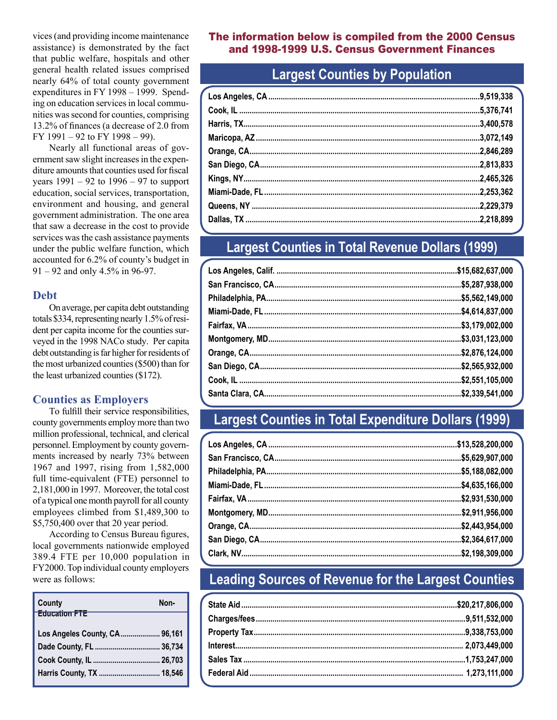vices (and providing income maintenance assistance) is demonstrated by the fact that public welfare, hospitals and other general health related issues comprised nearly 64% of total county government expenditures in FY 1998 – 1999. Spending on education services in local communities was second for counties, comprising 13.2% of finances (a decrease of 2.0 from FY 1991 – 92 to FY 1998 – 99).

Nearly all functional areas of government saw slight increases in the expenditure amounts that counties used for fiscal years  $1991 - 92$  to  $1996 - 97$  to support education, social services, transportation, environment and housing, and general government administration. The one area that saw a decrease in the cost to provide services was the cash assistance payments under the public welfare function, which accounted for 6.2% of county's budget in 91 – 92 and only 4.5% in 96-97.

#### **Debt**

On average, per capita debt outstanding totals \$334, representing nearly 1.5% of resident per capita income for the counties surveyed in the 1998 NACo study. Per capita debt outstanding is far higher for residents of the most urbanized counties (\$500) than for the least urbanized counties (\$172).

#### **Counties as Employers**

To fulfill their service responsibilities, county governments employ more than two million professional, technical, and clerical personnel. Employment by county governments increased by nearly 73% between 1967 and 1997, rising from 1,582,000 full time-equivalent (FTE) personnel to 2,181,000 in 1997. Moreover, the total cost of a typical one month payroll for all county employees climbed from \$1,489,300 to \$5,750,400 over that 20 year period.

According to Census Bureau figures, local governments nationwide employed 389.4 FTE per 10,000 population in FY2000. Top individual county employers were as follows:

| County                        | Non- |
|-------------------------------|------|
| <b>Education FTE</b>          |      |
| Los Angeles County, CA 96,161 |      |
|                               |      |
|                               |      |
| Harris County, TX  18,546     |      |

#### The information below is compiled from the 2000 Census and 1998-1999 U.S. Census Government Finances

# **Largest Counties by Population**

# **Largest Counties in Total Revenue Dollars (1999)**

# **Largest Counties in Total Expenditure Dollars (1999)**

# **Leading Sources of Revenue for the Largest Counties**